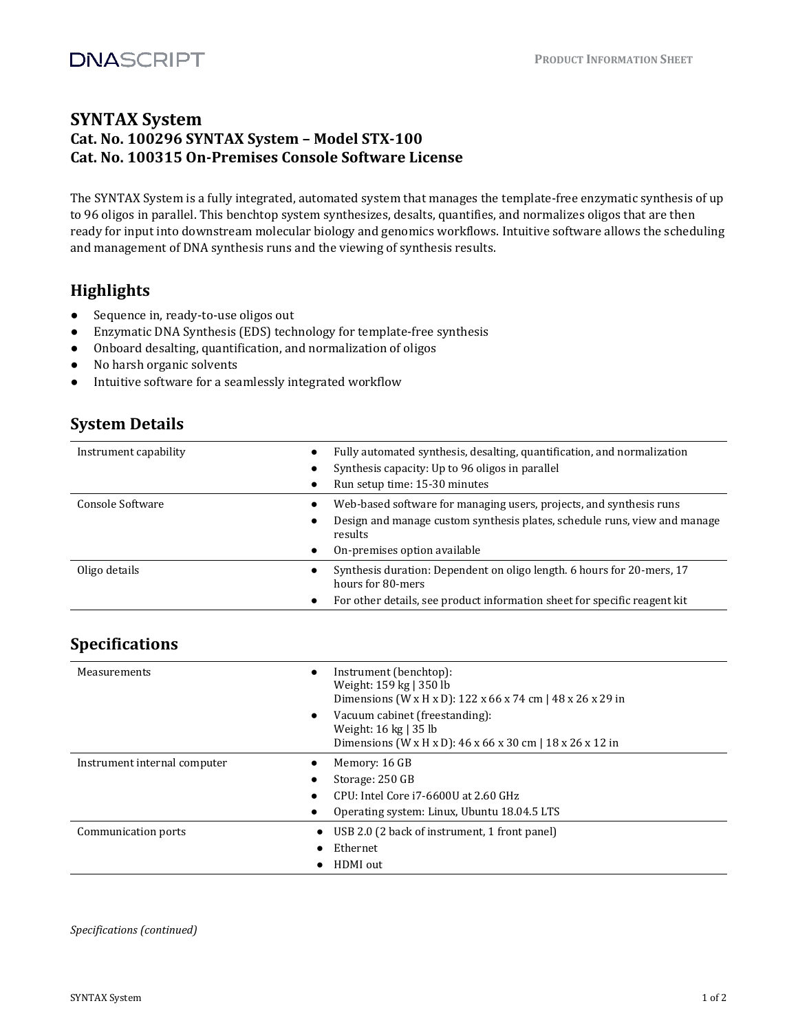#### **SYNTAX System Cat. No. 100296 SYNTAX System – Model STX-100 Cat. No. 100315 On-Premises Console Software License**

The SYNTAX System is a fully integrated, automated system that manages the template-free enzymatic synthesis of up to 96 oligos in parallel. This benchtop system synthesizes, desalts, quantifies, and normalizes oligos that are then ready for input into downstream molecular biology and genomics workflows. Intuitive software allows the scheduling and management of DNA synthesis runs and the viewing of synthesis results.

## **Highlights**

- Sequence in, ready-to-use oligos out
- Enzymatic DNA Synthesis (EDS) technology for template-free synthesis
- Onboard desalting, quantification, and normalization of oligos
- No harsh organic solvents
- Intuitive software for a seamlessly integrated workflow

## **System Details**

| Instrument capability      | Fully automated synthesis, desalting, quantification, and normalization                     |
|----------------------------|---------------------------------------------------------------------------------------------|
| ٠                          | Synthesis capacity: Up to 96 oligos in parallel                                             |
|                            | Run setup time: 15-30 minutes                                                               |
| Console Software<br>٠      | Web-based software for managing users, projects, and synthesis runs                         |
| ٠                          | Design and manage custom synthesis plates, schedule runs, view and manage<br>results        |
|                            | On-premises option available                                                                |
| Oligo details<br>$\bullet$ | Synthesis duration: Dependent on oligo length, 6 hours for 20-mers, 17<br>hours for 80-mers |
|                            | For other details, see product information sheet for specific reagent kit.                  |

# **Specifications**

| Measurements<br>$\bullet$         | Instrument (benchtop):<br>Weight: 159 kg   350 lb<br>Dimensions (W x H x D): $122 \times 66 \times 74$ cm   48 x 26 x 29 in                                      |
|-----------------------------------|------------------------------------------------------------------------------------------------------------------------------------------------------------------|
| ٠                                 | Vacuum cabinet (freestanding):<br>Weight: $16 \text{ kg}$   $35 \text{ lb}$<br>Dimensions (W x H x D): $46 \times 66 \times 30$ cm   $18 \times 26 \times 12$ in |
| Instrument internal computer<br>٠ | Memory: 16 GB                                                                                                                                                    |
|                                   | Storage: 250 GB                                                                                                                                                  |
|                                   | CPU: Intel Core i7-6600U at 2.60 GHz                                                                                                                             |
|                                   | Operating system: Linux, Ubuntu 18.04.5 LTS                                                                                                                      |
| Communication ports               | USB 2.0 (2 back of instrument, 1 front panel)                                                                                                                    |
|                                   | Ethernet                                                                                                                                                         |
|                                   | HDMI out                                                                                                                                                         |

*Specifications (continued)*